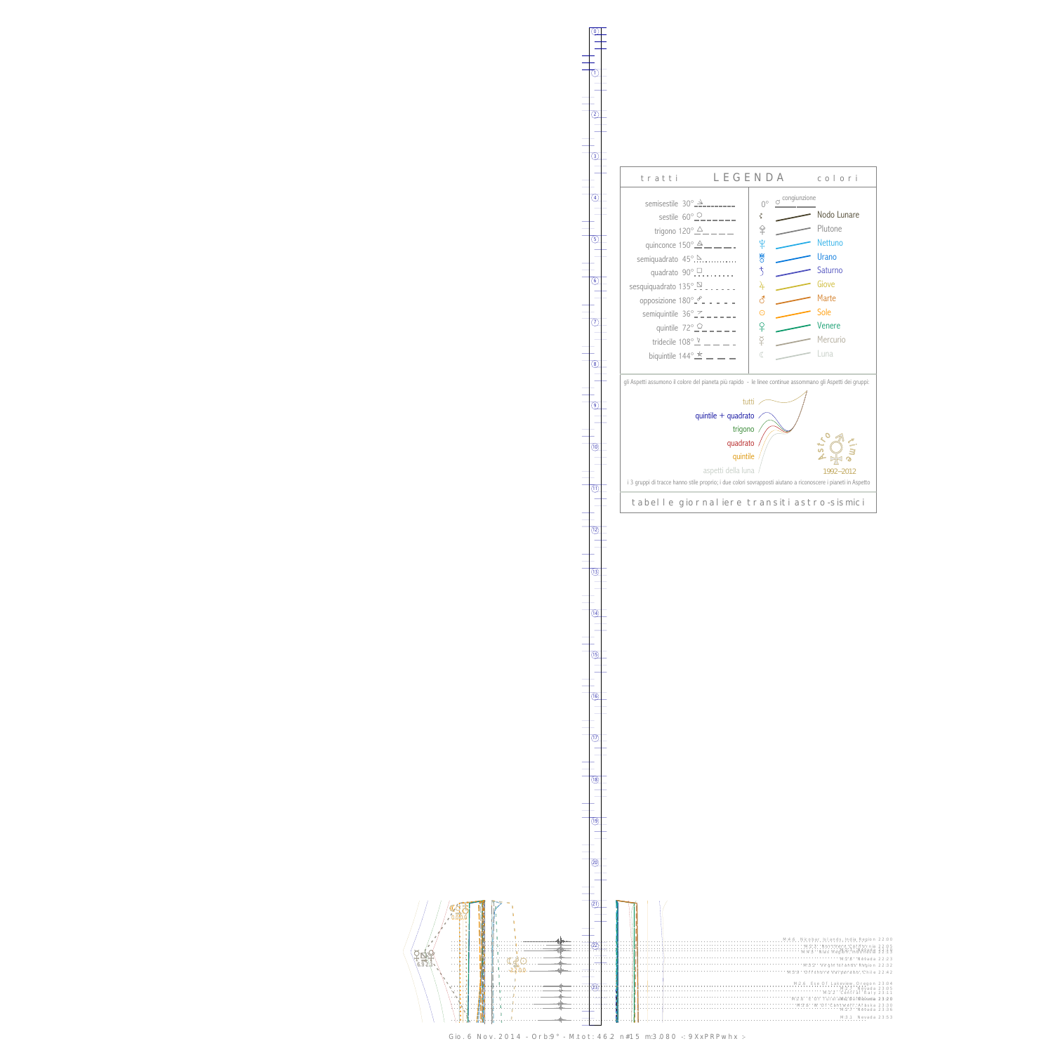